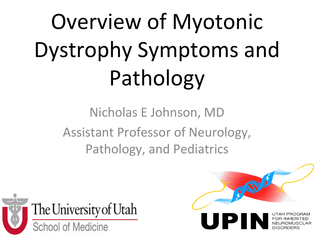# Overview of Myotonic Dystrophy Symptoms and Pathology

Nicholas E Johnson, MD Assistant Professor of Neurology, Pathology, and Pediatrics



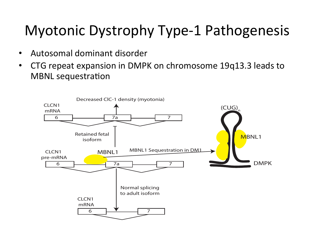#### Myotonic Dystrophy Type-1 Pathogenesis

- Autosomal dominant disorder
- CTG repeat expansion in DMPK on chromosome 19q13.3 leads to **MBNL** sequestration

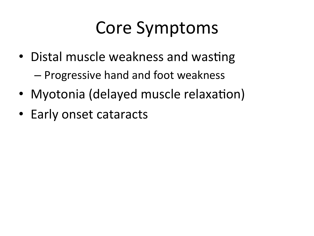# Core Symptoms

- Distal muscle weakness and wasting – Progressive hand and foot weakness
- Myotonia (delayed muscle relaxation)
- Early onset cataracts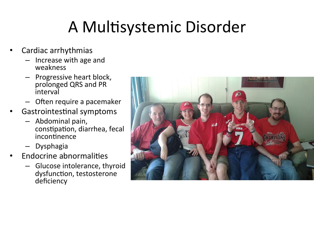### A Multisystemic Disorder

- Cardiac arrhythmias
	- Increase with age and weakness
	- **Progressive heart block,** prolonged QRS and PR interval
	- Often require a pacemaker
- Gastrointestinal symptoms
	- Abdominal pain, constipation, diarrhea, fecal incontinence
	- Dysphagia
- **Endocrine abnormalities** 
	- Glucose intolerance, thyroid dysfunction, testosterone deficiency

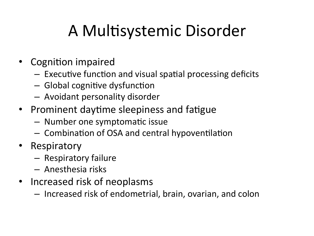## A Multisystemic Disorder

- Cognition impaired
	- $-$  Executive function and visual spatial processing deficits
	- $-$  Global cognitive dysfunction
	- $-$  Avoidant personality disorder
- Prominent daytime sleepiness and fatigue
	- $-$  Number one symptomatic issue
	- $-$  Combination of OSA and central hypoventilation
- Respiratory
	- $-$  Respiratory failure
	- Anesthesia risks
- Increased risk of neoplasms
	- $-$  Increased risk of endometrial, brain, ovarian, and colon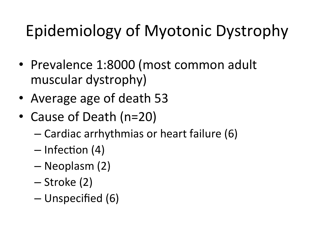# Epidemiology of Myotonic Dystrophy

- Prevalence 1:8000 (most common adult muscular dystrophy)
- Average age of death 53
- Cause of Death (n=20)
	- $-$  Cardiac arrhythmias or heart failure (6)
	- $-$  Infection (4)
	- Neoplasm (2)
	- $-$  Stroke  $(2)$
	- Unspecified (6)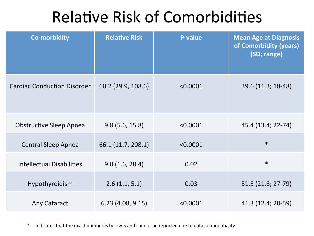#### Relative Risk of Comorbidities

| <b>Co-morbidity</b>                | <b>Relative Risk</b> | <b>P-value</b> | <b>Mean Age at Diagnosis</b><br>of Comorbidity (years)<br>(SD; range) |
|------------------------------------|----------------------|----------------|-----------------------------------------------------------------------|
| <b>Cardiac Conduction Disorder</b> | 60.2 (29.9, 108.6)   | < 0.0001       | 39.6 (11.3; 18-48)                                                    |
| <b>Obstructive Sleep Apnea</b>     | 9.8(5.6, 15.8)       | < 0.0001       | 45.4 (13.4; 22-74)                                                    |
| <b>Central Sleep Apnea</b>         | 66.1 (11.7, 208.1)   | < 0.0001       | $\ast$                                                                |
| <b>Intellectual Disabilities</b>   | 9.0(1.6, 28.4)       | 0.02           | $\ast$                                                                |
| Hypothyroidism                     | 2.6(1.1, 5.1)        | 0.03           | 51.5 (21.8; 27-79)                                                    |
| Any Cataract                       | 6.23(4.08, 9.15)     | < 0.0001       | 41.3 (12.4; 20-59)                                                    |

\* -- indicates that the exact number is below 5 and cannot be reported due to data confidentiality